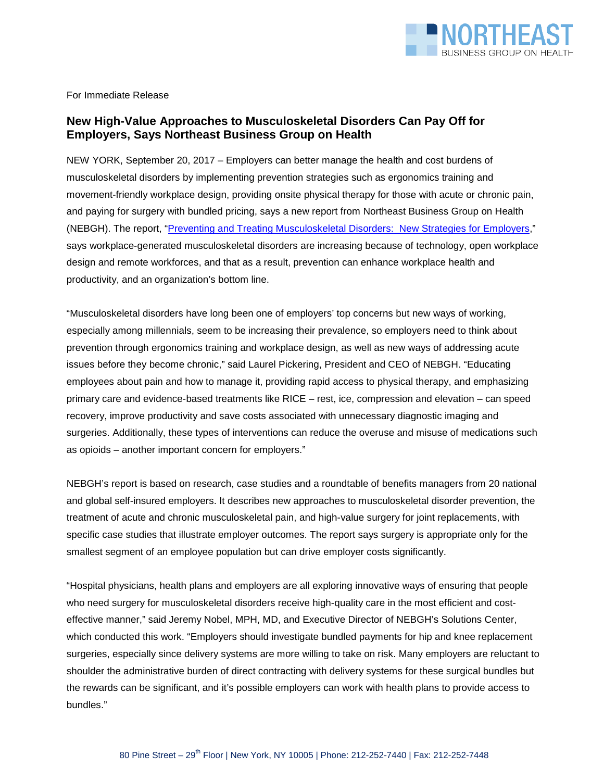

For Immediate Release

## **New High-Value Approaches to Musculoskeletal Disorders Can Pay Off for Employers, Says Northeast Business Group on Health**

NEW YORK, September 20, 2017 – Employers can better manage the health and cost burdens of musculoskeletal disorders by implementing prevention strategies such as ergonomics training and movement-friendly workplace design, providing onsite physical therapy for those with acute or chronic pain, and paying for surgery with bundled pricing, says a new report from Northeast Business Group on Health (NEBGH). The report, ["Preventing and Treating Musculoskeletal Disorders: New Strategies for Employers,](http://nebgh.org/wp-content/uploads/2017/09/NEBGH_MSD-Report_FINAL.pdf)" says workplace-generated musculoskeletal disorders are increasing because of technology, open workplace design and remote workforces, and that as a result, prevention can enhance workplace health and productivity, and an organization's bottom line.

"Musculoskeletal disorders have long been one of employers' top concerns but new ways of working, especially among millennials, seem to be increasing their prevalence, so employers need to think about prevention through ergonomics training and workplace design, as well as new ways of addressing acute issues before they become chronic," said Laurel Pickering, President and CEO of NEBGH. "Educating employees about pain and how to manage it, providing rapid access to physical therapy, and emphasizing primary care and evidence-based treatments like RICE – rest, ice, compression and elevation – can speed recovery, improve productivity and save costs associated with unnecessary diagnostic imaging and surgeries. Additionally, these types of interventions can reduce the overuse and misuse of medications such as opioids – another important concern for employers."

NEBGH's report is based on research, case studies and a roundtable of benefits managers from 20 national and global self-insured employers. It describes new approaches to musculoskeletal disorder prevention, the treatment of acute and chronic musculoskeletal pain, and high-value surgery for joint replacements, with specific case studies that illustrate employer outcomes. The report says surgery is appropriate only for the smallest segment of an employee population but can drive employer costs significantly.

"Hospital physicians, health plans and employers are all exploring innovative ways of ensuring that people who need surgery for musculoskeletal disorders receive high-quality care in the most efficient and costeffective manner," said Jeremy Nobel, MPH, MD, and Executive Director of NEBGH's Solutions Center, which conducted this work. "Employers should investigate bundled payments for hip and knee replacement surgeries, especially since delivery systems are more willing to take on risk. Many employers are reluctant to shoulder the administrative burden of direct contracting with delivery systems for these surgical bundles but the rewards can be significant, and it's possible employers can work with health plans to provide access to bundles."